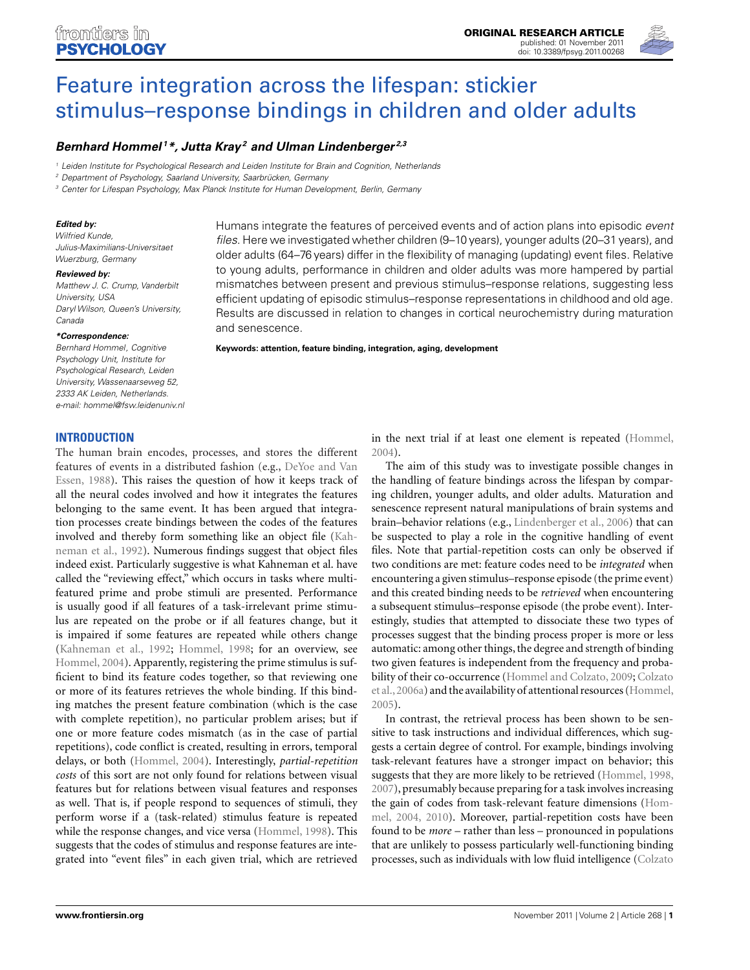

# Feature integration across the lifespan: stickier [stimulus–response bindings in children and older adults](http://www.frontiersin.org/Cognition/10.3389/fpsyg.2011.00268/abstract)

# *[Bernhard Hommel](http://www.frontiersin.org/Community/WhosWhoDetails.aspx?UID=7950&d=1&sname=BernhardHommel&name=Science) 1\*, [Jutta Kray](http://www.frontiersin.org/Community/WhosWhoDetails.aspx?UID=13499&d=1&sname=JuttaKray_1&name=Science) <sup>2</sup> and [Ulman Lindenberger](http://www.frontiersin.org/Community/WhosWhoDetails.aspx?UID=15021&d=0&sname=UlmanLindenberger_1&name=all people) 2,3*

<sup>1</sup> Leiden Institute for Psychological Research and Leiden Institute for Brain and Cognition, Netherlands

<sup>2</sup> Department of Psychology, Saarland University, Saarbrücken, Germany

<sup>3</sup> Center for Lifespan Psychology, Max Planck Institute for Human Development, Berlin, Germany

#### *Edited by:*

Wilfried Kunde, Julius-Maximilians-Universitaet Wuerzburg, Germany

#### *Reviewed by:*

Matthew J. C. Crump, Vanderbilt University, USA Daryl Wilson, Queen's University, Canada

#### *\*Correspondence:*

Bernhard Hommel, Cognitive Psychology Unit, Institute for Psychological Research, Leiden University, Wassenaarseweg 52, 2333 AK Leiden, Netherlands. e-mail: [hommel@fsw.leidenuniv.nl](mailto:hommel@fsw.leidenuniv.nl)

**INTRODUCTION**

The human brain encodes, processes, and stores the different featu[res of events in a distributed fashion \(e.g.,](#page-6-0) DeYoe and Van Essen, [1988](#page-6-0)). This raises the question of how it keeps track of all the neural codes involved and how it integrates the features belonging to the same event. It has been argued that integration processes create bindings between the codes of the features involved an[d thereby form something like an object file \(](#page-6-0)Kahneman et al., [1992\)](#page-6-0). Numerous findings suggest that object files indeed exist. Particularly suggestive is what Kahneman et al. have called the "reviewing effect," which occurs in tasks where multifeatured prime and probe stimuli are presented. Performance is usually good if all features of a task-irrelevant prime stimulus are repeated on the probe or if all features change, but it is impaired if some features are repeated while others change [\(Kahneman et al., 1992;](#page-6-0) [Hommel](#page-6-0), [1998;](#page-6-0) for an overview, see [Hommel](#page-6-0), [2004](#page-6-0)). Apparently, registering the prime stimulus is sufficient to bind its feature codes together, so that reviewing one or more of its features retrieves the whole binding. If this binding matches the present feature combination (which is the case with complete repetition), no particular problem arises; but if one or more feature codes mismatch (as in the case of partial repetitions), code conflict is created, resulting in errors, temporal delays, or both [\(Hommel, 2004](#page-6-0)). Interestingly, *partial-repetition costs* of this sort are not only found for relations between visual features but for relations between visual features and responses as well. That is, if people respond to sequences of stimuli, they perform worse if a (task-related) stimulus feature is repeated while the response changes, and vice versa [\(Hommel, 1998](#page-6-0)). This suggests that the codes of stimulus and response features are integrated into "event files" in each given trial, which are retrieved

Humans integrate the features of perceived events and of action plans into episodic event files. Here we investigated whether children (9–10 years), younger adults (20–31 years), and older adults (64–76 years) differ in the flexibility of managing (updating) event files. Relative to young adults, performance in children and older adults was more hampered by partial mismatches between present and previous stimulus–response relations, suggesting less efficient updating of episodic stimulus–response representations in childhood and old age. Results are discussed in relation to changes in cortical neurochemistry during maturation and senescence.

**Keywords: attention, feature binding, integration, aging, development**

in the next trial if at least one element is repeated [\(Hommel,](#page-6-0) [2004\)](#page-6-0).

The aim of this study was to investigate possible changes in the handling of feature bindings across the lifespan by comparing children, younger adults, and older adults. Maturation and senescence represent natural manipulations of brain systems and brain–behavior relations (e.g., [Lindenberger et al., 2006](#page-6-0)) that can be suspected to play a role in the cognitive handling of event files. Note that partial-repetition costs can only be observed if two conditions are met: feature codes need to be *integrated* when encountering a given stimulus–response episode (the prime event) and this created binding needs to be *retrieved* when encountering a subsequent stimulus–response episode (the probe event). Interestingly, studies that attempted to dissociate these two types of processes suggest that the binding process proper is more or less automatic: among other things, the degree and strength of binding two given features is independent from the frequency and probabilit[y](#page-6-0) [of](#page-6-0) [their](#page-6-0) [co-occurrence](#page-6-0) [\(Hommel and Colzato, 2009;](#page-6-0) Colzato et al.,[2006a](#page-6-0)) and the availability of attentional resources [\(Hommel,](#page-6-0) [2005\)](#page-6-0).

In contrast, the retrieval process has been shown to be sensitive to task instructions and individual differences, which suggests a certain degree of control. For example, bindings involving task-relevant features have a stronger impact on behavior; this suggests that they are more likely to be retrieved [\(Hommel](#page-6-0), [1998,](#page-6-0) [2007\)](#page-6-0), presumably because preparing for a task involves increasing the [gain](#page-6-0) [of](#page-6-0) [codes](#page-6-0) [from](#page-6-0) [task-relevant](#page-6-0) [feature](#page-6-0) [dimensions](#page-6-0) [\(](#page-6-0)Hommel, [2004, 2010](#page-6-0)). Moreover, partial-repetition costs have been found to be *more* – rather than less – pronounced in populations that are unlikely to possess particularly well-functioning binding processes, such as individuals with low fluid intelligence (Colzato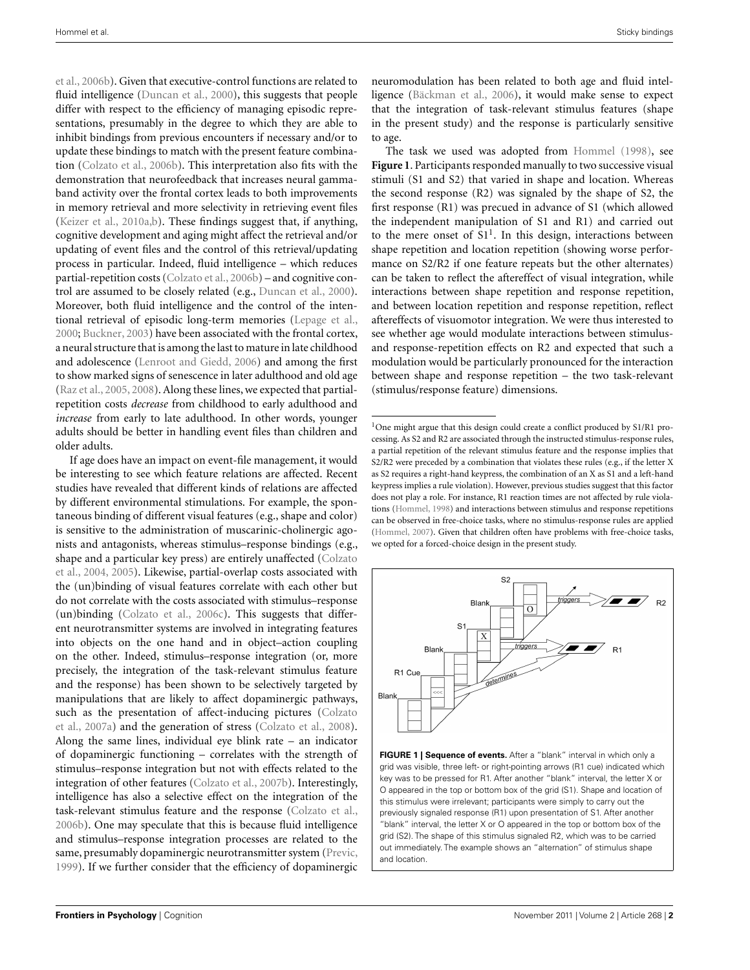<span id="page-1-0"></span>et al., [2006b\)](#page-6-0). Given that executive-control functions are related to fluid intelligence [\(Duncan et al.](#page-6-0), [2000](#page-6-0)), this suggests that people differ with respect to the efficiency of managing episodic representations, presumably in the degree to which they are able to inhibit bindings from previous encounters if necessary and/or to update these bindings to match with the present feature combination [\(Colzato et al.](#page-6-0), [2006b](#page-6-0)). This interpretation also fits with the demonstration that neurofeedback that increases neural gammaband activity over the frontal cortex leads to both improvements in memory retrieval and more selectivity in retrieving event files [\(Keizer et al.](#page-6-0), [2010a,b\)](#page-6-0). These findings suggest that, if anything, cognitive development and aging might affect the retrieval and/or updating of event files and the control of this retrieval/updating process in particular. Indeed, fluid intelligence – which reduces partial-repetition costs [\(Colzato et al.](#page-6-0), [2006b](#page-6-0)) – and cognitive control are assumed to be closely related (e.g., [Duncan et al.](#page-6-0), [2000](#page-6-0)). Moreover, both fluid intelligence and the control of the intentional retrieval of episodic long-term memories [\(Lepage et al.,](#page-6-0) [2000;](#page-6-0) [Buckner](#page-6-0), [2003](#page-6-0)) have been associated with the frontal cortex, a neural structure that is among the last to mature in late childhood and adolescence [\(Lenroot and Giedd, 2006\)](#page-6-0) and among the first to show marked signs of senescence in later adulthood and old age [\(Raz et al.](#page-6-0), [2005, 2008\)](#page-6-0). Along these lines, we expected that partialrepetition costs *decrease* from childhood to early adulthood and *increase* from early to late adulthood. In other words, younger adults should be better in handling event files than children and older adults.

If age does have an impact on event-file management, it would be interesting to see which feature relations are affected. Recent studies have revealed that different kinds of relations are affected by different environmental stimulations. For example, the spontaneous binding of different visual features (e.g., shape and color) is sensitive to the administration of muscarinic-cholinergic agonists and antagonists, whereas stimulus–response bindings (e.g., shap[e and a particular key press\) are entirely unaffected \(](#page-6-0)Colzato et al., [2004](#page-6-0), [2005](#page-6-0)). Likewise, partial-overlap costs associated with the (un)binding of visual features correlate with each other but do not correlate with the costs associated with stimulus–response (un)binding [\(Colzato et al., 2006c](#page-6-0)). This suggests that different neurotransmitter systems are involved in integrating features into objects on the one hand and in object–action coupling on the other. Indeed, stimulus–response integration (or, more precisely, the integration of the task-relevant stimulus feature and the response) has been shown to be selectively targeted by manipulations that are likely to affect dopaminergic pathways, such [as the presentation of affect-inducing pictures \(](#page-6-0)Colzato et al., [2007a](#page-6-0)) and the generation of stress [\(Colzato et al., 2008](#page-6-0)). Along the same lines, individual eye blink rate – an indicator of dopaminergic functioning – correlates with the strength of stimulus–response integration but not with effects related to the integration of other features [\(Colzato et al., 2007b](#page-6-0)). Interestingly, intelligence has also a selective effect on the integration of the task-relevant stimulus feature and the response [\(Colzato et al.,](#page-6-0) [2006b](#page-6-0)). One may speculate that this is because fluid intelligence and stimulus–response integration processes are related to the same, presumably dopaminergic neurotransmitter system [\(Previc,](#page-6-0) [1999\)](#page-6-0). If we further consider that the efficiency of dopaminergic

neuromodulation has been related to both age and fluid intelligence [\(Bäckman et al., 2006\)](#page-6-0), it would make sense to expect that the integration of task-relevant stimulus features (shape in the present study) and the response is particularly sensitive to age.

The task we used was adopted from [Hommel](#page-6-0) [\(1998](#page-6-0)), see **Figure 1**. Participants responded manually to two successive visual stimuli (S1 and S2) that varied in shape and location. Whereas the second response (R2) was signaled by the shape of S2, the first response (R1) was precued in advance of S1 (which allowed the independent manipulation of S1 and R1) and carried out to the mere onset of  $S1<sup>1</sup>$ . In this design, interactions between shape repetition and location repetition (showing worse performance on S2/R2 if one feature repeats but the other alternates) can be taken to reflect the aftereffect of visual integration, while interactions between shape repetition and response repetition, and between location repetition and response repetition, reflect aftereffects of visuomotor integration. We were thus interested to see whether age would modulate interactions between stimulusand response-repetition effects on R2 and expected that such a modulation would be particularly pronounced for the interaction between shape and response repetition – the two task-relevant (stimulus/response feature) dimensions.

<sup>&</sup>lt;sup>1</sup>One might argue that this design could create a conflict produced by  $S1/R1$  processing. As S2 and R2 are associated through the instructed stimulus-response rules, a partial repetition of the relevant stimulus feature and the response implies that S2/R2 were preceded by a combination that violates these rules (e.g., if the letter X as S2 requires a right-hand keypress, the combination of an X as S1 and a left-hand keypress implies a rule violation). However, previous studies suggest that this factor does not play a role. For instance, R1 reaction times are not affected by rule violations [\(Hommel, 1998](#page-6-0)) and interactions between stimulus and response repetitions can be observed in free-choice tasks, where no stimulus-response rules are applied [\(Hommel, 2007](#page-6-0)). Given that children often have problems with free-choice tasks, we opted for a forced-choice design in the present study.



**FIGURE 1 | Sequence of events.** After a "blank" interval in which only a grid was visible, three left- or right-pointing arrows (R1 cue) indicated which key was to be pressed for R1. After another "blank" interval, the letter X or O appeared in the top or bottom box of the grid (S1). Shape and location of this stimulus were irrelevant; participants were simply to carry out the previously signaled response (R1) upon presentation of S1. After another "blank" interval, the letter X or O appeared in the top or bottom box of the grid (S2). The shape of this stimulus signaled R2, which was to be carried out immediately. The example shows an "alternation" of stimulus shape and location.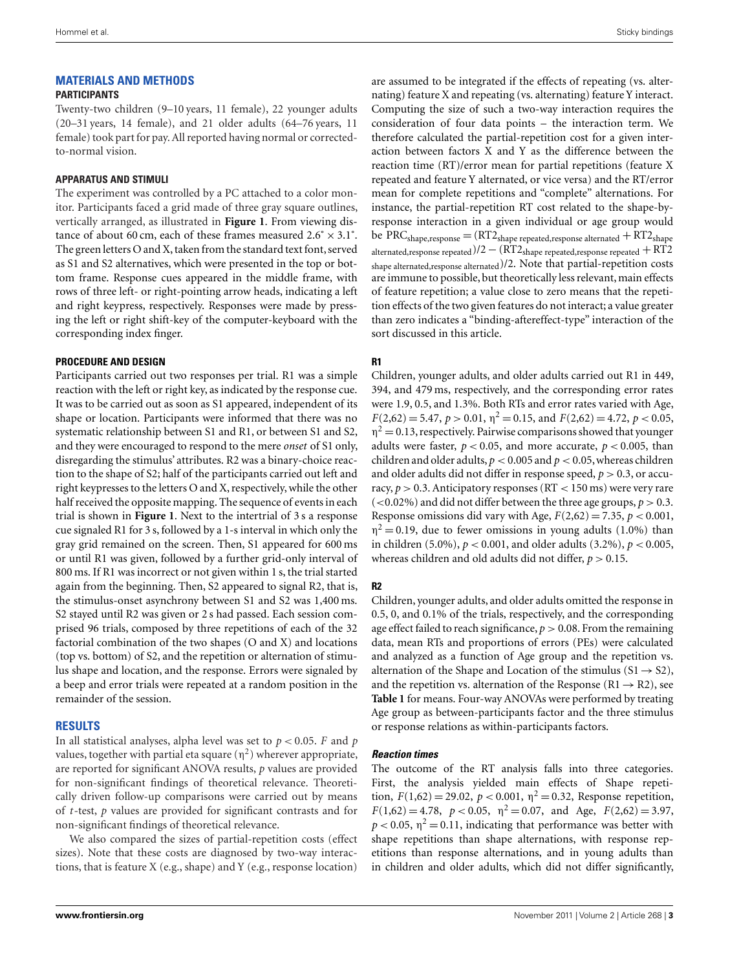# **MATERIALS AND METHODS**

### **PARTICIPANTS**

Twenty-two children (9–10 years, 11 female), 22 younger adults (20–31 years, 14 female), and 21 older adults (64–76 years, 11 female) took part for pay. All reported having normal or correctedto-normal vision.

## **APPARATUS AND STIMULI**

The experiment was controlled by a PC attached to a color monitor. Participants faced a grid made of three gray square outlines, vertically arranged, as illustrated in **[Figure 1](#page-1-0)**. From viewing distance of about 60 cm, each of these frames measured  $2.6^\circ \times 3.1^\circ$ . The green letters O and X, taken from the standard text font, served as S1 and S2 alternatives, which were presented in the top or bottom frame. Response cues appeared in the middle frame, with rows of three left- or right-pointing arrow heads, indicating a left and right keypress, respectively. Responses were made by pressing the left or right shift-key of the computer-keyboard with the corresponding index finger.

## **PROCEDURE AND DESIGN**

Participants carried out two responses per trial. R1 was a simple reaction with the left or right key, as indicated by the response cue. It was to be carried out as soon as S1 appeared, independent of its shape or location. Participants were informed that there was no systematic relationship between S1 and R1, or between S1 and S2, and they were encouraged to respond to the mere *onset* of S1 only, disregarding the stimulus' attributes. R2 was a binary-choice reaction to the shape of S2; half of the participants carried out left and right keypresses to the letters O and X, respectively, while the other half received the opposite mapping. The sequence of events in each trial is shown in **[Figure 1](#page-1-0)**. Next to the intertrial of 3 s a response cue signaled R1 for 3 s, followed by a 1-s interval in which only the gray grid remained on the screen. Then, S1 appeared for 600 ms or until R1 was given, followed by a further grid-only interval of 800 ms. If R1 was incorrect or not given within 1 s, the trial started again from the beginning. Then, S2 appeared to signal R2, that is, the stimulus-onset asynchrony between S1 and S2 was 1,400 ms. S2 stayed until R2 was given or 2 s had passed. Each session comprised 96 trials, composed by three repetitions of each of the 32 factorial combination of the two shapes (O and X) and locations (top vs. bottom) of S2, and the repetition or alternation of stimulus shape and location, and the response. Errors were signaled by a beep and error trials were repeated at a random position in the remainder of the session.

## **RESULTS**

In all statistical analyses, alpha level was set to *p* < 0.05. *F* and *p* values, together with partial eta square  $(\eta^2)$  wherever appropriate, are reported for significant ANOVA results, *p* values are provided for non-significant findings of theoretical relevance. Theoretically driven follow-up comparisons were carried out by means of *t*-test, *p* values are provided for significant contrasts and for non-significant findings of theoretical relevance.

We also compared the sizes of partial-repetition costs (effect sizes). Note that these costs are diagnosed by two-way interactions, that is feature X (e.g., shape) and Y (e.g., response location)

are assumed to be integrated if the effects of repeating (vs. alternating) feature X and repeating (vs. alternating) feature Y interact. Computing the size of such a two-way interaction requires the consideration of four data points – the interaction term. We therefore calculated the partial-repetition cost for a given interaction between factors X and Y as the difference between the reaction time (RT)/error mean for partial repetitions (feature X repeated and feature Y alternated, or vice versa) and the RT/error mean for complete repetitions and "complete" alternations. For instance, the partial-repetition RT cost related to the shape-byresponse interaction in a given individual or age group would be  $PRC_{shape,response} = (RT2_{shape}$  repeated, response alternated  $+ RT2_{shape}$ alternated, response repeated)/2  $-$  (RT2<sub>shape</sub> repeated, response repeated  $+$  RT2 shape alternated,response alternated)/2. Note that partial-repetition costs are immune to possible, but theoretically less relevant, main effects of feature repetition; a value close to zero means that the repetition effects of the two given features do not interact; a value greater than zero indicates a "binding-aftereffect-type" interaction of the sort discussed in this article.

# **R1**

Children, younger adults, and older adults carried out R1 in 449, 394, and 479 ms, respectively, and the corresponding error rates were 1.9, 0.5, and 1.3%. Both RTs and error rates varied with Age,  $F(2,62) = 5.47$ ,  $p > 0.01$ ,  $\eta^2 = 0.15$ , and  $F(2,62) = 4.72$ ,  $p < 0.05$ ,  $\eta^2$  = 0.13, respectively. Pairwise comparisons showed that younger adults were faster,  $p < 0.05$ , and more accurate,  $p < 0.005$ , than children and older adults,  $p < 0.005$  and  $p < 0.05$ , whereas children and older adults did not differ in response speed,  $p > 0.3$ , or accuracy,  $p > 0.3$ . Anticipatory responses (RT  $< 150$  ms) were very rare  $(<0.02\%)$  and did not differ between the three age groups,  $p > 0.3$ . Response omissions did vary with Age,  $F(2,62) = 7.35$ ,  $p < 0.001$ ,  $\eta^2$  = 0.19, due to fewer omissions in young adults (1.0%) than in children (5.0%), *p* < 0.001, and older adults (3.2%), *p* < 0.005, whereas children and old adults did not differ,  $p > 0.15$ .

# **R2**

Children, younger adults, and older adults omitted the response in 0.5, 0, and 0.1% of the trials, respectively, and the corresponding age effect failed to reach significance,  $p > 0.08$ . From the remaining data, mean RTs and proportions of errors (PEs) were calculated and analyzed as a function of Age group and the repetition vs. alternation of the Shape and Location of the stimulus  $(S1 \rightarrow S2)$ , and the repetition vs. alternation of the Response ( $R1 \rightarrow R2$ ), see **[Table 1](#page-3-0)** for means. Four-way ANOVAs were performed by treating Age group as between-participants factor and the three stimulus or response relations as within-participants factors.

## *Reaction times*

The outcome of the RT analysis falls into three categories. First, the analysis yielded main effects of Shape repetition,  $F(1,62) = 29.02$ ,  $p < 0.001$ ,  $\eta^2 = 0.32$ , Response repetition,  $F(1,62) = 4.78$ ,  $p < 0.05$ ,  $\eta^2 = 0.07$ , and Age,  $F(2,62) = 3.97$ ,  $p < 0.05$ ,  $\eta^2 = 0.11$ , indicating that performance was better with shape repetitions than shape alternations, with response repetitions than response alternations, and in young adults than in children and older adults, which did not differ significantly,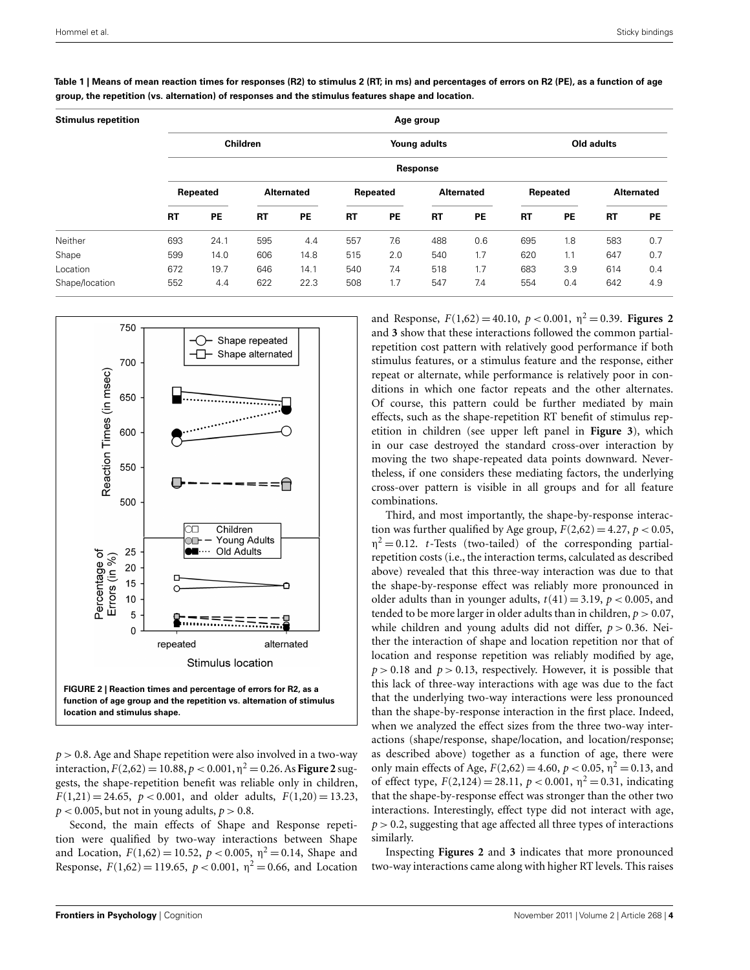| <b>Stimulus repetition</b> | Age group       |           |                   |      |              |     |                   |     |            |           |                   |           |
|----------------------------|-----------------|-----------|-------------------|------|--------------|-----|-------------------|-----|------------|-----------|-------------------|-----------|
|                            | <b>Children</b> |           |                   |      | Young adults |     |                   |     | Old adults |           |                   |           |
|                            | Response        |           |                   |      |              |     |                   |     |            |           |                   |           |
|                            | Repeated        |           | <b>Alternated</b> |      | Repeated     |     | <b>Alternated</b> |     | Repeated   |           | <b>Alternated</b> |           |
|                            | <b>RT</b>       | <b>PE</b> | <b>RT</b>         | PE   | <b>RT</b>    | PE  | <b>RT</b>         | PE  | <b>RT</b>  | <b>PE</b> | <b>RT</b>         | <b>PE</b> |
| Neither                    | 693             | 24.1      | 595               | 4.4  | 557          | 7.6 | 488               | 0.6 | 695        | 1.8       | 583               | 0.7       |
| Shape                      | 599             | 14.0      | 606               | 14.8 | 515          | 2.0 | 540               | 1.7 | 620        | 1.1       | 647               | 0.7       |
| Location                   | 672             | 19.7      | 646               | 14.1 | 540          | 7.4 | 518               | 1.7 | 683        | 3.9       | 614               | 0.4       |
| Shape/location             | 552             | 4.4       | 622               | 22.3 | 508          | 1.7 | 547               | 7.4 | 554        | 0.4       | 642               | 4.9       |

<span id="page-3-0"></span>**Table 1 | Means of mean reaction times for responses (R2) to stimulus 2 (RT; in ms) and percentages of errors on R2 (PE), as a function of age group, the repetition (vs. alternation) of responses and the stimulus features shape and location.**



*p* > 0.8. Age and Shape repetition were also involved in a two-way interaction,  $F(2,62) = 10.88$ ,  $p < 0.001$ ,  $\eta^2 = 0.26$ . As **Figure 2** suggests, the shape-repetition benefit was reliable only in children,  $F(1,21) = 24.65$ ,  $p < 0.001$ , and older adults,  $F(1,20) = 13.23$ ,  $p < 0.005$ , but not in young adults,  $p > 0.8$ .

Second, the main effects of Shape and Response repetition were qualified by two-way interactions between Shape and Location,  $F(1,62) = 10.52$ ,  $p < 0.005$ ,  $\eta^2 = 0.14$ , Shape and Response,  $F(1,62) = 119.65$ ,  $p < 0.001$ ,  $\eta^2 = 0.66$ , and Location

and Response,  $F(1,62) = 40.10$ ,  $p < 0.001$ ,  $p<sup>2</sup> = 0.39$ . **Figures 2** and **[3](#page-4-0)** show that these interactions followed the common partialrepetition cost pattern with relatively good performance if both stimulus features, or a stimulus feature and the response, either repeat or alternate, while performance is relatively poor in conditions in which one factor repeats and the other alternates. Of course, this pattern could be further mediated by main effects, such as the shape-repetition RT benefit of stimulus repetition in children (see upper left panel in **[Figure 3](#page-4-0)**), which in our case destroyed the standard cross-over interaction by moving the two shape-repeated data points downward. Nevertheless, if one considers these mediating factors, the underlying cross-over pattern is visible in all groups and for all feature combinations.

Third, and most importantly, the shape-by-response interaction was further qualified by Age group,  $F(2,62) = 4.27$ ,  $p < 0.05$ ,  $\eta^2 = 0.12$ . *t*-Tests (two-tailed) of the corresponding partialrepetition costs (i.e., the interaction terms, calculated as described above) revealed that this three-way interaction was due to that the shape-by-response effect was reliably more pronounced in older adults than in younger adults,  $t(41) = 3.19$ ,  $p < 0.005$ , and tended to be more larger in older adults than in children,  $p > 0.07$ , while children and young adults did not differ,  $p > 0.36$ . Neither the interaction of shape and location repetition nor that of location and response repetition was reliably modified by age,  $p > 0.18$  and  $p > 0.13$ , respectively. However, it is possible that this lack of three-way interactions with age was due to the fact that the underlying two-way interactions were less pronounced than the shape-by-response interaction in the first place. Indeed, when we analyzed the effect sizes from the three two-way interactions (shape/response, shape/location, and location/response; as described above) together as a function of age, there were only main effects of Age,  $F(2,62) = 4.60$ ,  $p < 0.05$ ,  $\eta^2 = 0.13$ , and of effect type,  $F(2,124) = 28.11$ ,  $p < 0.001$ ,  $\eta^2 = 0.31$ , indicating that the shape-by-response effect was stronger than the other two interactions. Interestingly, effect type did not interact with age, *p* > 0.2, suggesting that age affected all three types of interactions similarly.

Inspecting **Figures 2** and **[3](#page-4-0)** indicates that more pronounced two-way interactions came along with higher RT levels. This raises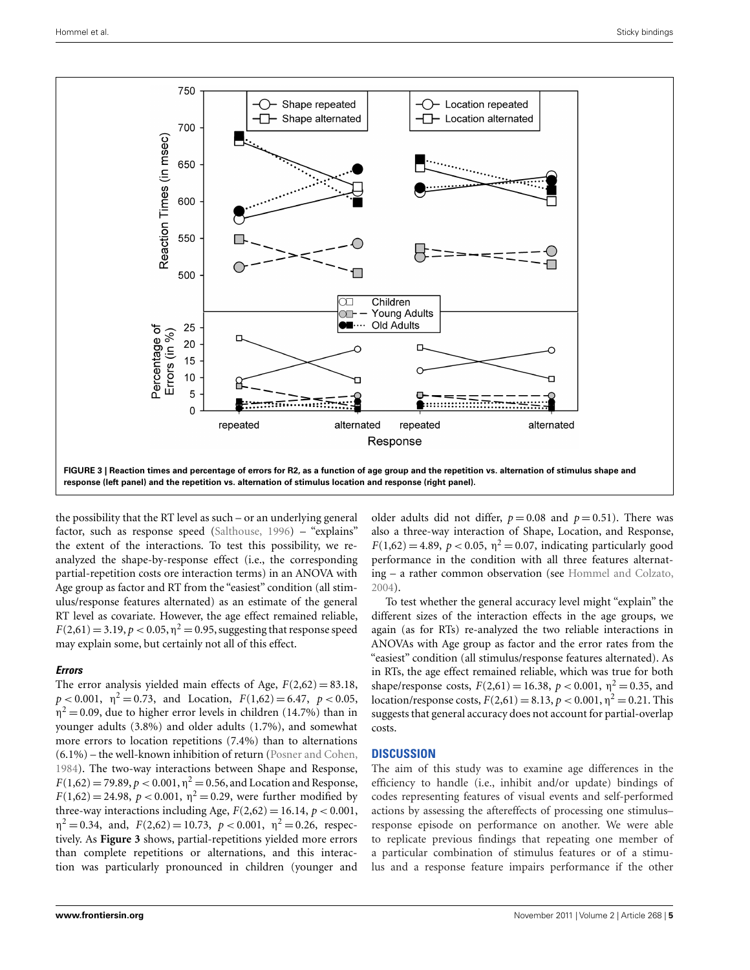<span id="page-4-0"></span>

the possibility that the RT level as such – or an underlying general factor, such as response speed [\(Salthouse, 1996\)](#page-6-0) – "explains" the extent of the interactions. To test this possibility, we reanalyzed the shape-by-response effect (i.e., the corresponding partial-repetition costs ore interaction terms) in an ANOVA with Age group as factor and RT from the "easiest" condition (all stimulus/response features alternated) as an estimate of the general RT level as covariate. However, the age effect remained reliable,  $F(2,61) = 3.19, p < 0.05, \eta^2 = 0.95$ , suggesting that response speed may explain some, but certainly not all of this effect.

#### *Errors*

The error analysis yielded main effects of Age,  $F(2,62) = 83.18$ ,  $p < 0.001$ ,  $\eta^2 = 0.73$ , and Location,  $F(1,62) = 6.47$ ,  $p < 0.05$ ,  $\eta^2$  = 0.09, due to higher error levels in children (14.7%) than in younger adults (3.8%) and older adults (1.7%), and somewhat more errors to location repetitions (7.4%) than to alternations (6.1%) – the well-known inhibition of return [\(Posner and Cohen,](#page-6-0) [1984\)](#page-6-0). The two-way interactions between Shape and Response,  $F(1,62) = 79.89, p < 0.001, \eta^2 = 0.56$ , and Location and Response,  $F(1,62) = 24.98$ ,  $p < 0.001$ ,  $\eta^2 = 0.29$ , were further modified by three-way interactions including Age,  $F(2,62) = 16.14$ ,  $p < 0.001$ ,  $\eta^2 = 0.34$ , and,  $F(2,62) = 10.73$ ,  $p < 0.001$ ,  $\eta^2 = 0.26$ , respectively. As **Figure 3** shows, partial-repetitions yielded more errors than complete repetitions or alternations, and this interaction was particularly pronounced in children (younger and

older adults did not differ,  $p = 0.08$  and  $p = 0.51$ ). There was also a three-way interaction of Shape, Location, and Response,  $F(1,62) = 4.89$ ,  $p < 0.05$ ,  $\eta^2 = 0.07$ , indicating particularly good performance in the condition with all three features alternating – a rather common observation (see [Hommel and Colzato,](#page-6-0) [2004\)](#page-6-0).

To test whether the general accuracy level might "explain" the different sizes of the interaction effects in the age groups, we again (as for RTs) re-analyzed the two reliable interactions in ANOVAs with Age group as factor and the error rates from the "easiest" condition (all stimulus/response features alternated). As in RTs, the age effect remained reliable, which was true for both shape/response costs,  $F(2,61) = 16.38$ ,  $p < 0.001$ ,  $\eta^2 = 0.35$ , and location/response costs,  $F(2,61) = 8.13$ ,  $p < 0.001$ ,  $p^2 = 0.21$ . This suggests that general accuracy does not account for partial-overlap costs.

## **DISCUSSION**

The aim of this study was to examine age differences in the efficiency to handle (i.e., inhibit and/or update) bindings of codes representing features of visual events and self-performed actions by assessing the aftereffects of processing one stimulus– response episode on performance on another. We were able to replicate previous findings that repeating one member of a particular combination of stimulus features or of a stimulus and a response feature impairs performance if the other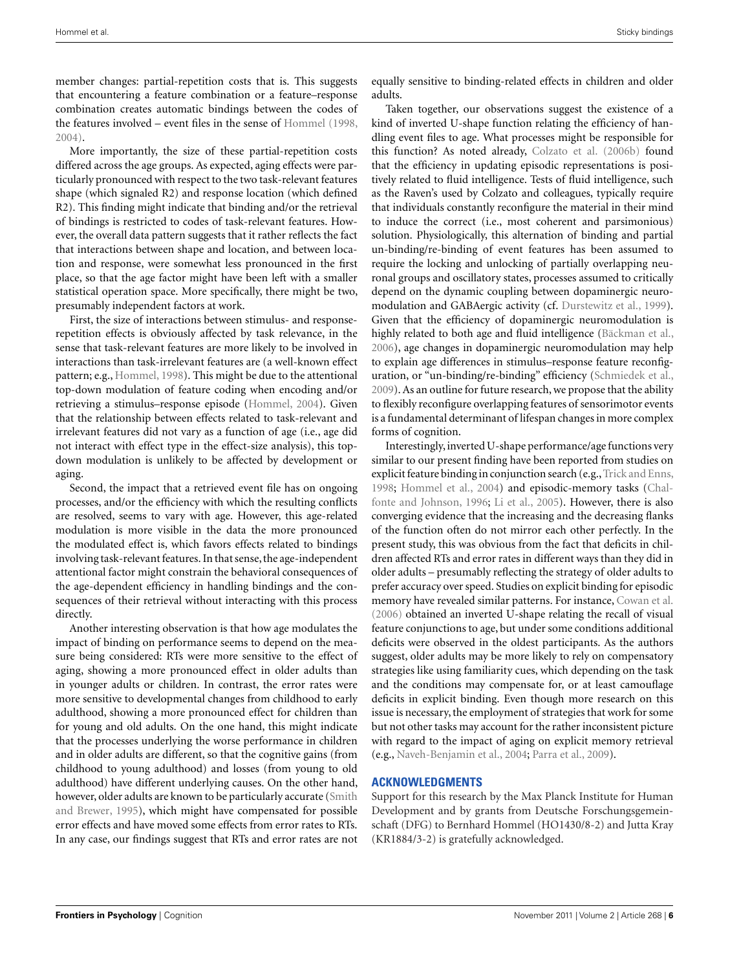member changes: partial-repetition costs that is. This suggests that encountering a feature combination or a feature–response combination creates automatic bindings between the codes of the features involved – event files in the sense of [Hommel](#page-6-0) [\(1998,](#page-6-0) [2004\)](#page-6-0).

More importantly, the size of these partial-repetition costs differed across the age groups. As expected, aging effects were particularly pronounced with respect to the two task-relevant features shape (which signaled R2) and response location (which defined R2). This finding might indicate that binding and/or the retrieval of bindings is restricted to codes of task-relevant features. However, the overall data pattern suggests that it rather reflects the fact that interactions between shape and location, and between location and response, were somewhat less pronounced in the first place, so that the age factor might have been left with a smaller statistical operation space. More specifically, there might be two, presumably independent factors at work.

First, the size of interactions between stimulus- and responserepetition effects is obviously affected by task relevance, in the sense that task-relevant features are more likely to be involved in interactions than task-irrelevant features are (a well-known effect pattern; e.g., [Hommel, 1998\)](#page-6-0). This might be due to the attentional top-down modulation of feature coding when encoding and/or retrieving a stimulus–response episode [\(Hommel, 2004](#page-6-0)). Given that the relationship between effects related to task-relevant and irrelevant features did not vary as a function of age (i.e., age did not interact with effect type in the effect-size analysis), this topdown modulation is unlikely to be affected by development or aging.

Second, the impact that a retrieved event file has on ongoing processes, and/or the efficiency with which the resulting conflicts are resolved, seems to vary with age. However, this age-related modulation is more visible in the data the more pronounced the modulated effect is, which favors effects related to bindings involving task-relevant features. In that sense, the age-independent attentional factor might constrain the behavioral consequences of the age-dependent efficiency in handling bindings and the consequences of their retrieval without interacting with this process directly.

Another interesting observation is that how age modulates the impact of binding on performance seems to depend on the measure being considered: RTs were more sensitive to the effect of aging, showing a more pronounced effect in older adults than in younger adults or children. In contrast, the error rates were more sensitive to developmental changes from childhood to early adulthood, showing a more pronounced effect for children than for young and old adults. On the one hand, this might indicate that the processes underlying the worse performance in children and in older adults are different, so that the cognitive gains (from childhood to young adulthood) and losses (from young to old adulthood) have different underlying causes. On the other hand, however, ol[der](#page-6-0) [adults](#page-6-0) [are](#page-6-0) [known](#page-6-0) [to](#page-6-0) [be](#page-6-0) [particularly](#page-6-0) [accurate](#page-6-0) [\(](#page-6-0)Smith and Brewer, [1995\)](#page-6-0), which might have compensated for possible error effects and have moved some effects from error rates to RTs. In any case, our findings suggest that RTs and error rates are not

equally sensitive to binding-related effects in children and older adults.

Taken together, our observations suggest the existence of a kind of inverted U-shape function relating the efficiency of handling event files to age. What processes might be responsible for this function? As noted already, [Colzato et al.](#page-6-0) [\(2006b](#page-6-0)) found that the efficiency in updating episodic representations is positively related to fluid intelligence. Tests of fluid intelligence, such as the Raven's used by Colzato and colleagues, typically require that individuals constantly reconfigure the material in their mind to induce the correct (i.e., most coherent and parsimonious) solution. Physiologically, this alternation of binding and partial un-binding/re-binding of event features has been assumed to require the locking and unlocking of partially overlapping neuronal groups and oscillatory states, processes assumed to critically depend on the dynamic coupling between dopaminergic neuromodulation and GABAergic activity (cf. [Durstewitz et al.](#page-6-0), [1999](#page-6-0)). Given that the efficiency of dopaminergic neuromodulation is highly related to both age and fluid intelligence [\(Bäckman et al.,](#page-6-0) [2006\)](#page-6-0), age changes in dopaminergic neuromodulation may help to explain age differences in stimulus–response feature reconfiguration, or "un-binding/re-binding" efficiency [\(Schmiedek et al.,](#page-6-0) [2009\)](#page-6-0). As an outline for future research, we propose that the ability to flexibly reconfigure overlapping features of sensorimotor events is a fundamental determinant of lifespan changes in more complex forms of cognition.

Interestingly,inverted U-shape performance/age functions very similar to our present finding have been reported from studies on explicit feature binding in conjunction search (e.g., Trick and Enns, [1998;](#page-6-0) [Hommel et al., 2004\)](#page-6-0) [and](#page-6-0) [episodic-memory](#page-6-0) [tasks](#page-6-0) [\(](#page-6-0)Chalfonte and Johnson, [1996](#page-6-0); [Li et al.](#page-6-0), [2005](#page-6-0)). However, there is also converging evidence that the increasing and the decreasing flanks of the function often do not mirror each other perfectly. In the present study, this was obvious from the fact that deficits in children affected RTs and error rates in different ways than they did in older adults – presumably reflecting the strategy of older adults to prefer accuracy over speed. Studies on explicit binding for episodic memory have revealed similar patterns. For instance, [Cowan et al.](#page-6-0) [\(2006](#page-6-0)) obtained an inverted U-shape relating the recall of visual feature conjunctions to age, but under some conditions additional deficits were observed in the oldest participants. As the authors suggest, older adults may be more likely to rely on compensatory strategies like using familiarity cues, which depending on the task and the conditions may compensate for, or at least camouflage deficits in explicit binding. Even though more research on this issue is necessary, the employment of strategies that work for some but not other tasks may account for the rather inconsistent picture with regard to the impact of aging on explicit memory retrieval (e.g., [Naveh-Benjamin et al.](#page-6-0), [2004](#page-6-0); [Parra et al.](#page-6-0), [2009\)](#page-6-0).

#### **ACKNOWLEDGMENTS**

Support for this research by the Max Planck Institute for Human Development and by grants from Deutsche Forschungsgemeinschaft (DFG) to Bernhard Hommel (HO1430/8-2) and Jutta Kray (KR1884/3-2) is gratefully acknowledged.